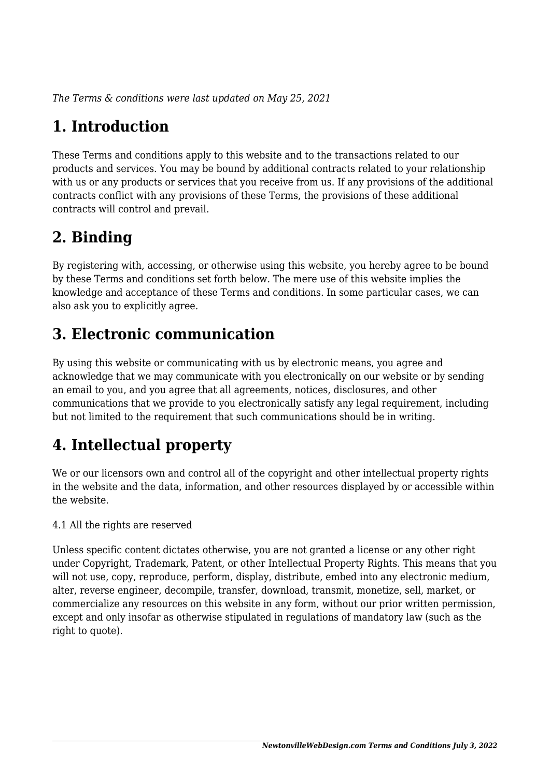*The Terms & conditions were last updated on May 25, 2021*

# **1. Introduction**

These Terms and conditions apply to this website and to the transactions related to our products and services. You may be bound by additional contracts related to your relationship with us or any products or services that you receive from us. If any provisions of the additional contracts conflict with any provisions of these Terms, the provisions of these additional contracts will control and prevail.

## **2. Binding**

By registering with, accessing, or otherwise using this website, you hereby agree to be bound by these Terms and conditions set forth below. The mere use of this website implies the knowledge and acceptance of these Terms and conditions. In some particular cases, we can also ask you to explicitly agree.

## **3. Electronic communication**

By using this website or communicating with us by electronic means, you agree and acknowledge that we may communicate with you electronically on our website or by sending an email to you, and you agree that all agreements, notices, disclosures, and other communications that we provide to you electronically satisfy any legal requirement, including but not limited to the requirement that such communications should be in writing.

# **4. Intellectual property**

We or our licensors own and control all of the copyright and other intellectual property rights in the website and the data, information, and other resources displayed by or accessible within the website.

4.1 All the rights are reserved

Unless specific content dictates otherwise, you are not granted a license or any other right under Copyright, Trademark, Patent, or other Intellectual Property Rights. This means that you will not use, copy, reproduce, perform, display, distribute, embed into any electronic medium, alter, reverse engineer, decompile, transfer, download, transmit, monetize, sell, market, or commercialize any resources on this website in any form, without our prior written permission, except and only insofar as otherwise stipulated in regulations of mandatory law (such as the right to quote).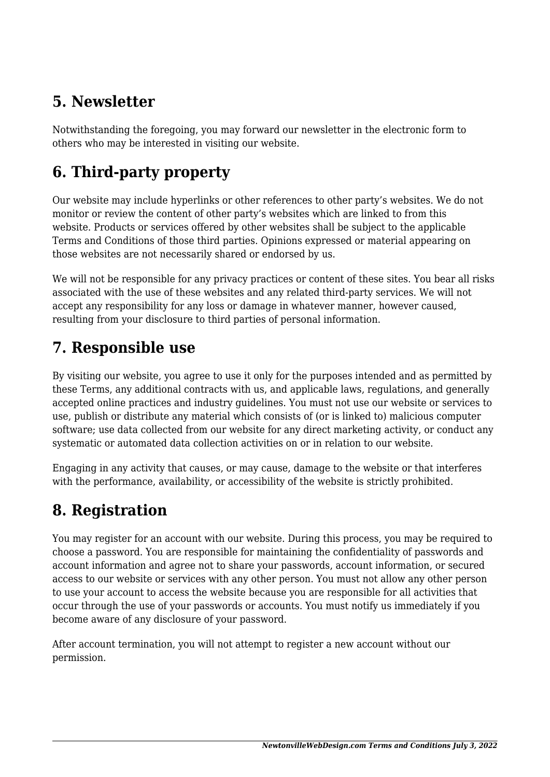## **5. Newsletter**

Notwithstanding the foregoing, you may forward our newsletter in the electronic form to others who may be interested in visiting our website.

# **6. Third-party property**

Our website may include hyperlinks or other references to other party's websites. We do not monitor or review the content of other party's websites which are linked to from this website. Products or services offered by other websites shall be subject to the applicable Terms and Conditions of those third parties. Opinions expressed or material appearing on those websites are not necessarily shared or endorsed by us.

We will not be responsible for any privacy practices or content of these sites. You bear all risks associated with the use of these websites and any related third-party services. We will not accept any responsibility for any loss or damage in whatever manner, however caused, resulting from your disclosure to third parties of personal information.

#### **7. Responsible use**

By visiting our website, you agree to use it only for the purposes intended and as permitted by these Terms, any additional contracts with us, and applicable laws, regulations, and generally accepted online practices and industry guidelines. You must not use our website or services to use, publish or distribute any material which consists of (or is linked to) malicious computer software; use data collected from our website for any direct marketing activity, or conduct any systematic or automated data collection activities on or in relation to our website.

Engaging in any activity that causes, or may cause, damage to the website or that interferes with the performance, availability, or accessibility of the website is strictly prohibited.

## **8. Registration**

You may register for an account with our website. During this process, you may be required to choose a password. You are responsible for maintaining the confidentiality of passwords and account information and agree not to share your passwords, account information, or secured access to our website or services with any other person. You must not allow any other person to use your account to access the website because you are responsible for all activities that occur through the use of your passwords or accounts. You must notify us immediately if you become aware of any disclosure of your password.

After account termination, you will not attempt to register a new account without our permission.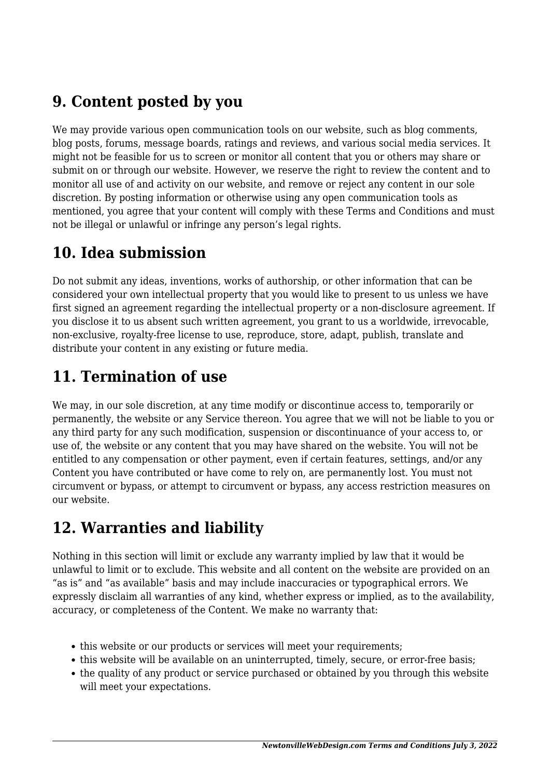### **9. Content posted by you**

We may provide various open communication tools on our website, such as blog comments, blog posts, forums, message boards, ratings and reviews, and various social media services. It might not be feasible for us to screen or monitor all content that you or others may share or submit on or through our website. However, we reserve the right to review the content and to monitor all use of and activity on our website, and remove or reject any content in our sole discretion. By posting information or otherwise using any open communication tools as mentioned, you agree that your content will comply with these Terms and Conditions and must not be illegal or unlawful or infringe any person's legal rights.

### **10. Idea submission**

Do not submit any ideas, inventions, works of authorship, or other information that can be considered your own intellectual property that you would like to present to us unless we have first signed an agreement regarding the intellectual property or a non-disclosure agreement. If you disclose it to us absent such written agreement, you grant to us a worldwide, irrevocable, non-exclusive, royalty-free license to use, reproduce, store, adapt, publish, translate and distribute your content in any existing or future media.

## **11. Termination of use**

We may, in our sole discretion, at any time modify or discontinue access to, temporarily or permanently, the website or any Service thereon. You agree that we will not be liable to you or any third party for any such modification, suspension or discontinuance of your access to, or use of, the website or any content that you may have shared on the website. You will not be entitled to any compensation or other payment, even if certain features, settings, and/or any Content you have contributed or have come to rely on, are permanently lost. You must not circumvent or bypass, or attempt to circumvent or bypass, any access restriction measures on our website.

## **12. Warranties and liability**

Nothing in this section will limit or exclude any warranty implied by law that it would be unlawful to limit or to exclude. This website and all content on the website are provided on an "as is" and "as available" basis and may include inaccuracies or typographical errors. We expressly disclaim all warranties of any kind, whether express or implied, as to the availability, accuracy, or completeness of the Content. We make no warranty that:

- this website or our products or services will meet your requirements;
- this website will be available on an uninterrupted, timely, secure, or error-free basis;
- the quality of any product or service purchased or obtained by you through this website will meet your expectations.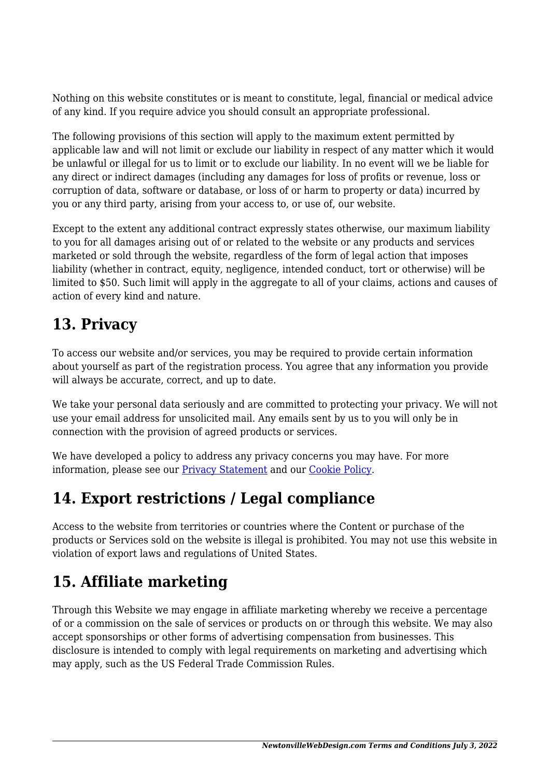Nothing on this website constitutes or is meant to constitute, legal, financial or medical advice of any kind. If you require advice you should consult an appropriate professional.

The following provisions of this section will apply to the maximum extent permitted by applicable law and will not limit or exclude our liability in respect of any matter which it would be unlawful or illegal for us to limit or to exclude our liability. In no event will we be liable for any direct or indirect damages (including any damages for loss of profits or revenue, loss or corruption of data, software or database, or loss of or harm to property or data) incurred by you or any third party, arising from your access to, or use of, our website.

Except to the extent any additional contract expressly states otherwise, our maximum liability to you for all damages arising out of or related to the website or any products and services marketed or sold through the website, regardless of the form of legal action that imposes liability (whether in contract, equity, negligence, intended conduct, tort or otherwise) will be limited to \$50. Such limit will apply in the aggregate to all of your claims, actions and causes of action of every kind and nature.

## **13. Privacy**

To access our website and/or services, you may be required to provide certain information about yourself as part of the registration process. You agree that any information you provide will always be accurate, correct, and up to date.

We take your personal data seriously and are committed to protecting your privacy. We will not use your email address for unsolicited mail. Any emails sent by us to you will only be in connection with the provision of agreed products or services.

We have developed a policy to address any privacy concerns you may have. For more information, please see our Privacy Statement and our [Cookie Policy](https://newtonvillewebdesign.com/cookie-policy-us/).

#### **14. Export restrictions / Legal compliance**

Access to the website from territories or countries where the Content or purchase of the products or Services sold on the website is illegal is prohibited. You may not use this website in violation of export laws and regulations of United States.

## **15. Affiliate marketing**

Through this Website we may engage in affiliate marketing whereby we receive a percentage of or a commission on the sale of services or products on or through this website. We may also accept sponsorships or other forms of advertising compensation from businesses. This disclosure is intended to comply with legal requirements on marketing and advertising which may apply, such as the US Federal Trade Commission Rules.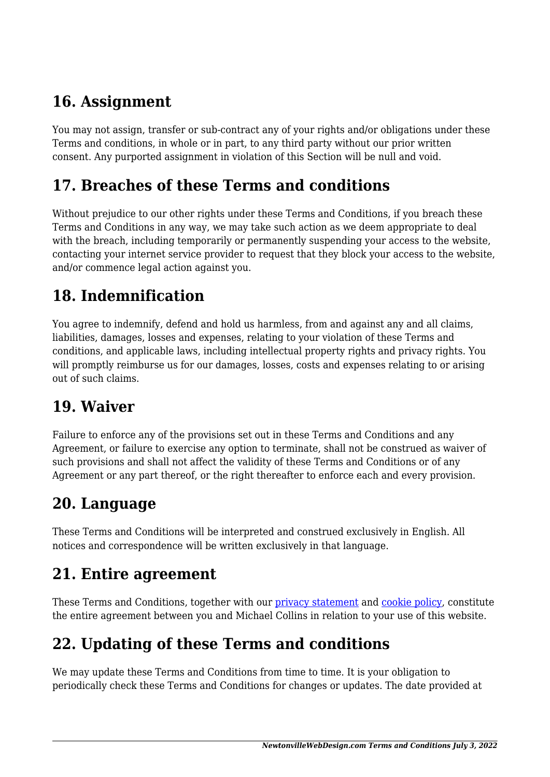## **16. Assignment**

You may not assign, transfer or sub-contract any of your rights and/or obligations under these Terms and conditions, in whole or in part, to any third party without our prior written consent. Any purported assignment in violation of this Section will be null and void.

#### **17. Breaches of these Terms and conditions**

Without prejudice to our other rights under these Terms and Conditions, if you breach these Terms and Conditions in any way, we may take such action as we deem appropriate to deal with the breach, including temporarily or permanently suspending your access to the website, contacting your internet service provider to request that they block your access to the website, and/or commence legal action against you.

## **18. Indemnification**

You agree to indemnify, defend and hold us harmless, from and against any and all claims, liabilities, damages, losses and expenses, relating to your violation of these Terms and conditions, and applicable laws, including intellectual property rights and privacy rights. You will promptly reimburse us for our damages, losses, costs and expenses relating to or arising out of such claims.

#### **19. Waiver**

Failure to enforce any of the provisions set out in these Terms and Conditions and any Agreement, or failure to exercise any option to terminate, shall not be construed as waiver of such provisions and shall not affect the validity of these Terms and Conditions or of any Agreement or any part thereof, or the right thereafter to enforce each and every provision.

#### **20. Language**

These Terms and Conditions will be interpreted and construed exclusively in English. All notices and correspondence will be written exclusively in that language.

#### **21. Entire agreement**

These Terms and Conditions, together with our privacy statement and [cookie policy,](https://newtonvillewebdesign.com/cookie-policy-us/) constitute the entire agreement between you and Michael Collins in relation to your use of this website.

# **22. Updating of these Terms and conditions**

We may update these Terms and Conditions from time to time. It is your obligation to periodically check these Terms and Conditions for changes or updates. The date provided at